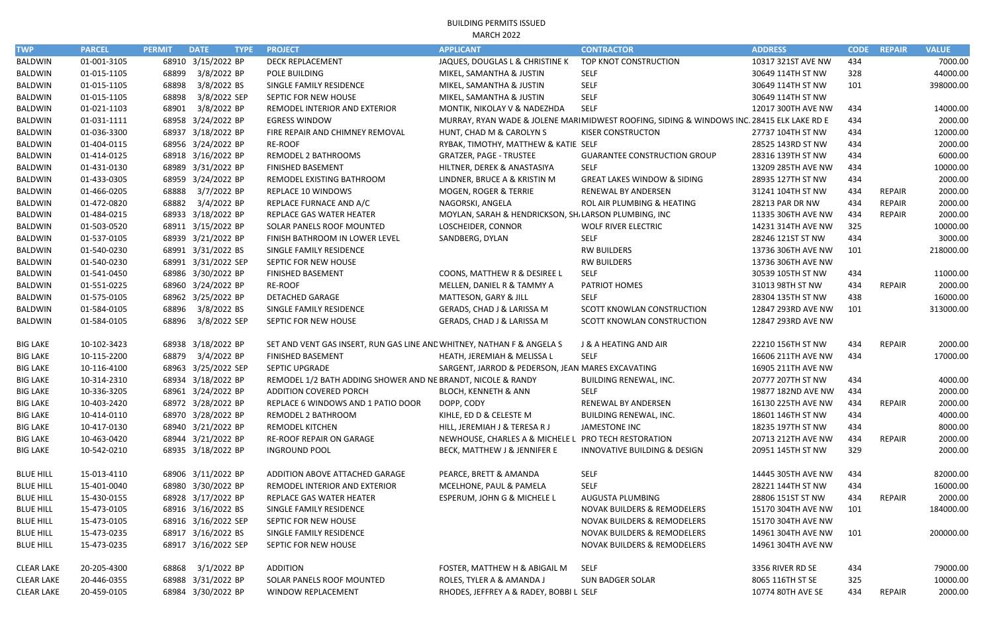BUILDING PERMITS ISSUED MARCH 2022

| <b>TWP</b>        | <b>PARCEL</b> | <b>PERMIT</b><br><b>DATE</b><br><b>TYPE</b> | <b>PROJECT</b>                                                         | <b>APPLICANT</b>                                      | <b>CONTRACTOR</b>                                                                          | <b>ADDRESS</b>     | <b>CODE</b> | <b>REPAIR</b> | <b>VALUE</b> |
|-------------------|---------------|---------------------------------------------|------------------------------------------------------------------------|-------------------------------------------------------|--------------------------------------------------------------------------------------------|--------------------|-------------|---------------|--------------|
| BALDWIN           | 01-001-3105   | 68910 3/15/2022 BP                          | <b>DECK REPLACEMENT</b>                                                | JAQUES, DOUGLAS L & CHRISTINE K                       | TOP KNOT CONSTRUCTION                                                                      | 10317 321ST AVE NW | 434         |               | 7000.00      |
| BALDWIN           | 01-015-1105   | 3/8/2022 BP<br>68899                        | POLE BUILDING                                                          | MIKEL, SAMANTHA & JUSTIN                              | <b>SELF</b>                                                                                | 30649 114TH ST NW  | 328         |               | 44000.00     |
| BALDWIN           | 01-015-1105   | 68898<br>3/8/2022 BS                        | SINGLE FAMILY RESIDENCE                                                | MIKEL, SAMANTHA & JUSTIN                              | <b>SELF</b>                                                                                | 30649 114TH ST NW  | 101         |               | 398000.00    |
| BALDWIN           | 01-015-1105   | 3/8/2022 SEP<br>68898                       | SEPTIC FOR NEW HOUSE                                                   | MIKEL, SAMANTHA & JUSTIN                              | <b>SELF</b>                                                                                | 30649 114TH ST NW  |             |               |              |
| BALDWIN           | 01-021-1103   | 68901<br>3/8/2022 BP                        | REMODEL INTERIOR AND EXTERIOR                                          | MONTIK, NIKOLAY V & NADEZHDA                          | <b>SELF</b>                                                                                | 12017 300TH AVE NW | 434         |               | 14000.00     |
| BALDWIN           | 01-031-1111   | 68958 3/24/2022 BP                          | <b>EGRESS WINDOW</b>                                                   |                                                       | MURRAY, RYAN WADE & JOLENE MARI MIDWEST ROOFING, SIDING & WINDOWS INC. 28415 ELK LAKE RD E |                    | 434         |               | 2000.00      |
| BALDWIN           | 01-036-3300   | 68937 3/18/2022 BP                          | FIRE REPAIR AND CHIMNEY REMOVAL                                        | HUNT, CHAD M & CAROLYN S                              | <b>KISER CONSTRUCTON</b>                                                                   | 27737 104TH ST NW  | 434         |               | 12000.00     |
| BALDWIN           | 01-404-0115   | 68956 3/24/2022 BP                          | RE-ROOF                                                                | RYBAK, TIMOTHY, MATTHEW & KATIE SELF                  |                                                                                            | 28525 143RD ST NW  | 434         |               | 2000.00      |
| BALDWIN           | 01-414-0125   | 68918 3/16/2022 BP                          | REMODEL 2 BATHROOMS                                                    | <b>GRATZER, PAGE - TRUSTEE</b>                        | <b>GUARANTEE CONSTRUCTION GROUP</b>                                                        | 28316 139TH ST NW  | 434         |               | 6000.00      |
| BALDWIN           | 01-431-0130   | 68989 3/31/2022 BP                          | FINISHED BASEMENT                                                      | HILTNER, DEREK & ANASTASIYA                           | <b>SELF</b>                                                                                | 13209 285TH AVE NW | 434         |               | 10000.00     |
| BALDWIN           | 01-433-0305   | 68959 3/24/2022 BP                          | REMODEL EXISTING BATHROOM                                              | LINDNER, BRUCE A & KRISTIN M                          | <b>GREAT LAKES WINDOW &amp; SIDING</b>                                                     | 28935 127TH ST NW  | 434         |               | 2000.00      |
| BALDWIN           | 01-466-0205   | 3/7/2022 BP<br>68888                        | <b>REPLACE 10 WINDOWS</b>                                              | MOGEN, ROGER & TERRIE                                 | <b>RENEWAL BY ANDERSEN</b>                                                                 | 31241 104TH ST NW  | 434         | <b>REPAIR</b> | 2000.00      |
| BALDWIN           | 01-472-0820   | 68882 3/4/2022 BP                           | REPLACE FURNACE AND A/C                                                | NAGORSKI, ANGELA                                      | ROL AIR PLUMBING & HEATING                                                                 | 28213 PAR DR NW    | 434         | <b>REPAIR</b> | 2000.00      |
| BALDWIN           | 01-484-0215   | 68933 3/18/2022 BP                          | REPLACE GAS WATER HEATER                                               | MOYLAN, SARAH & HENDRICKSON, SH. LARSON PLUMBING, INC |                                                                                            | 11335 306TH AVE NW | 434         | <b>REPAIR</b> | 2000.00      |
| BALDWIN           | 01-503-0520   | 68911 3/15/2022 BP                          | SOLAR PANELS ROOF MOUNTED                                              | LOSCHEIDER, CONNOR                                    | <b>WOLF RIVER ELECTRIC</b>                                                                 | 14231 314TH AVE NW | 325         |               | 10000.00     |
| BALDWIN           | 01-537-0105   | 68939 3/21/2022 BP                          | FINISH BATHROOM IN LOWER LEVEL                                         | SANDBERG, DYLAN                                       | <b>SELF</b>                                                                                | 28246 121ST ST NW  | 434         |               | 3000.00      |
| BALDWIN           | 01-540-0230   | 68991 3/31/2022 BS                          | SINGLE FAMILY RESIDENCE                                                |                                                       | <b>RW BUILDERS</b>                                                                         | 13736 306TH AVE NW | 101         |               | 218000.00    |
| BALDWIN           | 01-540-0230   | 68991 3/31/2022 SEP                         | SEPTIC FOR NEW HOUSE                                                   |                                                       | <b>RW BUILDERS</b>                                                                         | 13736 306TH AVE NW |             |               |              |
| BALDWIN           | 01-541-0450   | 68986 3/30/2022 BP                          | <b>FINISHED BASEMENT</b>                                               | COONS, MATTHEW R & DESIREE L                          | <b>SELF</b>                                                                                | 30539 105TH ST NW  | 434         |               | 11000.00     |
| BALDWIN           | 01-551-0225   | 68960 3/24/2022 BP                          | RE-ROOF                                                                | MELLEN, DANIEL R & TAMMY A                            | PATRIOT HOMES                                                                              | 31013 98TH ST NW   | 434         | <b>REPAIR</b> | 2000.00      |
| BALDWIN           | 01-575-0105   | 68962 3/25/2022 BP                          | <b>DETACHED GARAGE</b>                                                 | MATTESON, GARY & JILL                                 | <b>SELF</b>                                                                                | 28304 135TH ST NW  | 438         |               | 16000.00     |
| BALDWIN           | 01-584-0105   | 68896 3/8/2022 BS                           | SINGLE FAMILY RESIDENCE                                                | GERADS, CHAD J & LARISSA M                            | SCOTT KNOWLAN CONSTRUCTION                                                                 | 12847 293RD AVE NW | 101         |               | 313000.00    |
| BALDWIN           | 01-584-0105   | 68896 3/8/2022 SEP                          | SEPTIC FOR NEW HOUSE                                                   | GERADS, CHAD J & LARISSA M                            | SCOTT KNOWLAN CONSTRUCTION                                                                 | 12847 293RD AVE NW |             |               |              |
| <b>BIG LAKE</b>   | 10-102-3423   | 68938 3/18/2022 BP                          | SET AND VENT GAS INSERT, RUN GAS LINE AND WHITNEY, NATHAN F & ANGELA S |                                                       | J & A HEATING AND AIR                                                                      | 22210 156TH ST NW  | 434         | <b>REPAIR</b> | 2000.00      |
| <b>BIG LAKE</b>   | 10-115-2200   | 68879<br>3/4/2022 BP                        | FINISHED BASEMENT                                                      | HEATH, JEREMIAH & MELISSA L                           | <b>SELF</b>                                                                                | 16606 211TH AVE NW | 434         |               | 17000.00     |
| <b>BIG LAKE</b>   | 10-116-4100   | 68963 3/25/2022 SEP                         | SEPTIC UPGRADE                                                         | SARGENT, JARROD & PEDERSON, JEAN MARES EXCAVATING     |                                                                                            | 16905 211TH AVE NW |             |               |              |
| <b>BIG LAKE</b>   | 10-314-2310   | 68934 3/18/2022 BP                          | REMODEL 1/2 BATH ADDING SHOWER AND NE BRANDT, NICOLE & RANDY           |                                                       | BUILDING RENEWAL, INC.                                                                     | 20777 207TH ST NW  | 434         |               | 4000.00      |
| <b>BIG LAKE</b>   | 10-336-3205   | 68961 3/24/2022 BP                          | ADDITION COVERED PORCH                                                 | <b>BLOCH, KENNETH &amp; ANN</b>                       | <b>SELF</b>                                                                                | 19877 182ND AVE NW | 434         |               | 2000.00      |
| <b>BIG LAKE</b>   | 10-403-2420   | 68972 3/28/2022 BP                          | REPLACE 6 WINDOWS AND 1 PATIO DOOR                                     | DOPP, CODY                                            | RENEWAL BY ANDERSEN                                                                        | 16130 225TH AVE NW | 434         | REPAIR        | 2000.00      |
| <b>BIG LAKE</b>   | 10-414-0110   | 68970 3/28/2022 BP                          | REMODEL 2 BATHROOM                                                     | KIHLE, ED D & CELESTE M                               | BUILDING RENEWAL, INC.                                                                     | 18601 146TH ST NW  | 434         |               | 4000.00      |
| <b>BIG LAKE</b>   | 10-417-0130   | 68940 3/21/2022 BP                          | <b>REMODEL KITCHEN</b>                                                 | HILL, JEREMIAH J & TERESA R J                         | JAMESTONE INC                                                                              | 18235 197TH ST NW  | 434         |               | 8000.00      |
| <b>BIG LAKE</b>   | 10-463-0420   | 68944 3/21/2022 BP                          | RE-ROOF REPAIR ON GARAGE                                               | NEWHOUSE, CHARLES A & MICHELE L PRO TECH RESTORATION  |                                                                                            | 20713 212TH AVE NW | 434         | REPAIR        | 2000.00      |
| <b>BIG LAKE</b>   | 10-542-0210   | 68935 3/18/2022 BP                          | <b>INGROUND POOL</b>                                                   | BECK, MATTHEW J & JENNIFER E                          | INNOVATIVE BUILDING & DESIGN                                                               | 20951 145TH ST NW  | 329         |               | 2000.00      |
|                   |               |                                             |                                                                        |                                                       |                                                                                            |                    |             |               |              |
| <b>BLUE HILL</b>  | 15-013-4110   | 68906 3/11/2022 BP                          | ADDITION ABOVE ATTACHED GARAGE                                         | PEARCE, BRETT & AMANDA                                | <b>SELF</b>                                                                                | 14445 305TH AVE NW | 434         |               | 82000.00     |
| <b>BLUE HILL</b>  | 15-401-0040   | 68980 3/30/2022 BP                          | REMODEL INTERIOR AND EXTERIOR                                          | MCELHONE, PAUL & PAMELA                               | <b>SELF</b>                                                                                | 28221 144TH ST NW  | 434         |               | 16000.00     |
| <b>BLUE HILL</b>  | 15-430-0155   | 68928 3/17/2022 BP                          | REPLACE GAS WATER HEATER                                               | ESPERUM, JOHN G & MICHELE L                           | <b>AUGUSTA PLUMBING</b>                                                                    | 28806 151ST ST NW  | 434         | REPAIR        | 2000.00      |
| <b>BLUE HILL</b>  | 15-473-0105   | 68916 3/16/2022 BS                          | SINGLE FAMILY RESIDENCE                                                |                                                       | <b>NOVAK BUILDERS &amp; REMODELERS</b>                                                     | 15170 304TH AVE NW | 101         |               | 184000.00    |
| <b>BLUE HILL</b>  | 15-473-0105   | 68916 3/16/2022 SEP                         | SEPTIC FOR NEW HOUSE                                                   |                                                       | <b>NOVAK BUILDERS &amp; REMODELERS</b>                                                     | 15170 304TH AVE NW |             |               |              |
| <b>BLUE HILL</b>  | 15-473-0235   | 68917 3/16/2022 BS                          | SINGLE FAMILY RESIDENCE                                                |                                                       | <b>NOVAK BUILDERS &amp; REMODELERS</b>                                                     | 14961 304TH AVE NW | 101         |               | 200000.00    |
| <b>BLUE HILL</b>  | 15-473-0235   | 68917 3/16/2022 SEP                         | SEPTIC FOR NEW HOUSE                                                   |                                                       | <b>NOVAK BUILDERS &amp; REMODELERS</b>                                                     | 14961 304TH AVE NW |             |               |              |
| <b>CLEAR LAKE</b> | 20-205-4300   | 68868 3/1/2022 BP                           | <b>ADDITION</b>                                                        | FOSTER, MATTHEW H & ABIGAIL M                         | SELF                                                                                       | 3356 RIVER RD SE   | 434         |               | 79000.00     |
| <b>CLEAR LAKE</b> | 20-446-0355   | 68988 3/31/2022 BP                          | SOLAR PANELS ROOF MOUNTED                                              | ROLES, TYLER A & AMANDA J                             | <b>SUN BADGER SOLAR</b>                                                                    | 8065 116TH ST SE   | 325         |               | 10000.00     |
| <b>CLEAR LAKE</b> | 20-459-0105   | 68984 3/30/2022 BP                          | WINDOW REPLACEMENT                                                     | RHODES, JEFFREY A & RADEY, BOBBI L SELF               |                                                                                            | 10774 80TH AVE SE  | 434         | REPAIR        | 2000.00      |
|                   |               |                                             |                                                                        |                                                       |                                                                                            |                    |             |               |              |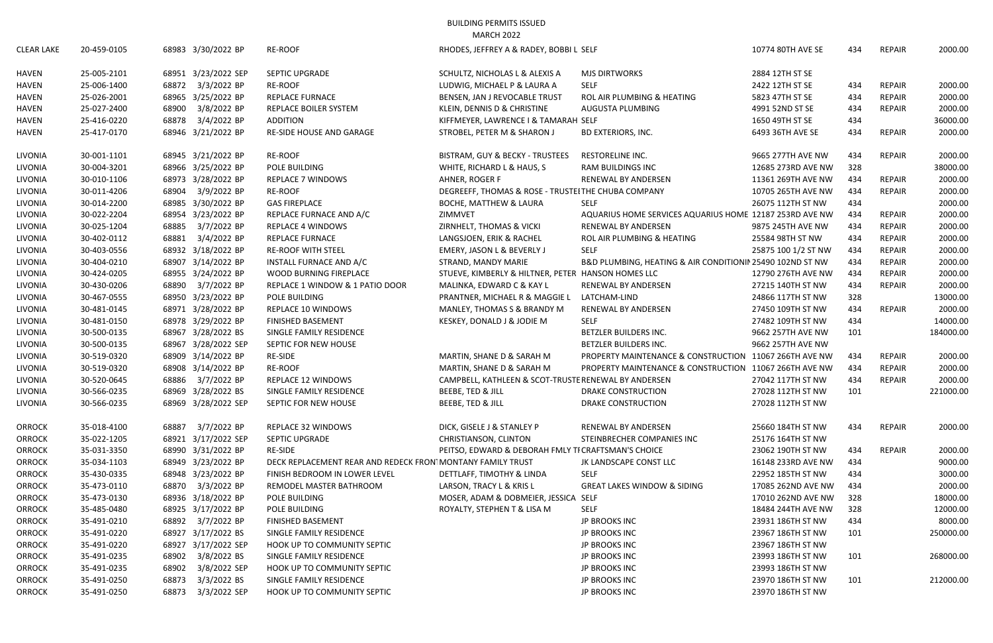BUILDING PERMITS ISSUED

|    | 10774 80TH AVE SE     | 434 | <b>REPAIR</b> | 2000.00   |
|----|-----------------------|-----|---------------|-----------|
|    | 2884 12TH ST SE       |     |               |           |
|    | 2422 12TH ST SE       | 434 | <b>REPAIR</b> | 2000.00   |
|    | 5823 47TH ST SE       | 434 | <b>REPAIR</b> | 2000.00   |
|    | 4991 52ND ST SE       | 434 | <b>REPAIR</b> | 2000.00   |
|    | 1650 49TH ST SE       | 434 |               | 36000.00  |
|    | 6493 36TH AVE SE      | 434 | <b>REPAIR</b> | 2000.00   |
|    | 9665 277TH AVE NW     |     |               |           |
|    |                       | 434 | <b>REPAIR</b> | 2000.00   |
|    | 12685 273RD AVE NW    | 328 |               | 38000.00  |
|    | 11361 269TH AVE NW    | 434 | <b>REPAIR</b> | 2000.00   |
|    | 10705 265TH AVE NW    | 434 | <b>REPAIR</b> | 2000.00   |
|    | 26075 112TH ST NW     | 434 |               | 2000.00   |
|    | ME 12187 253RD AVE NW | 434 | <b>REPAIR</b> | 2000.00   |
|    | 9875 245TH AVE NW     | 434 | <b>REPAIR</b> | 2000.00   |
|    | 25584 98TH ST NW      | 434 | <b>REPAIR</b> | 2000.00   |
|    | 25875 100 1/2 ST NW   | 434 | <b>REPAIR</b> | 2000.00   |
|    | NIN 25490 102ND ST NW | 434 | <b>REPAIR</b> | 2000.00   |
|    | 12790 276TH AVE NW    | 434 | <b>REPAIR</b> | 2000.00   |
|    | 27215 140TH ST NW     | 434 | <b>REPAIR</b> | 2000.00   |
|    | 24866 117TH ST NW     | 328 |               | 13000.00  |
|    | 27450 109TH ST NW     | 434 | <b>REPAIR</b> | 2000.00   |
|    | 27482 109TH ST NW     | 434 |               | 14000.00  |
|    | 9662 257TH AVE NW     | 101 |               | 184000.00 |
|    | 9662 257TH AVE NW     |     |               |           |
| )N | 11067 266TH AVE NW    | 434 | <b>REPAIR</b> | 2000.00   |
| λN | 11067 266TH AVE NW    | 434 | <b>REPAIR</b> | 2000.00   |
|    | 27042 117TH ST NW     | 434 | <b>REPAIR</b> | 2000.00   |
|    | 27028 112TH ST NW     | 101 |               | 221000.00 |
|    | 27028 112TH ST NW     |     |               |           |
|    | 25660 184TH ST NW     | 434 | <b>REPAIR</b> | 2000.00   |
|    | 25176 164TH ST NW     |     |               |           |
|    | 23062 190TH ST NW     | 434 | <b>REPAIR</b> | 2000.00   |
|    | 16148 233RD AVE NW    | 434 |               | 9000.00   |
|    | 22952 185TH ST NW     | 434 |               | 3000.00   |
|    | 17085 262ND AVE NW    | 434 |               | 2000.00   |
|    | 17010 262ND AVE NW    | 328 |               | 18000.00  |
|    | 18484 244TH AVE NW    | 328 |               | 12000.00  |
|    | 23931 186TH ST NW     | 434 |               | 8000.00   |
|    | 23967 186TH ST NW     | 101 |               | 250000.00 |
|    | 23967 186TH ST NW     |     |               |           |
|    | 23993 186TH ST NW     | 101 |               | 268000.00 |
|    | 23993 186TH ST NW     |     |               |           |
|    | 23970 186TH ST NW     | 101 |               | 212000.00 |
|    | 23970 186TH ST NW     |     |               |           |
|    |                       |     |               |           |

|                   |             |                       |                                                            | <b>MARCH 2022</b>                                    |                                                           |                     |     |               |           |
|-------------------|-------------|-----------------------|------------------------------------------------------------|------------------------------------------------------|-----------------------------------------------------------|---------------------|-----|---------------|-----------|
| <b>CLEAR LAKE</b> | 20-459-0105 | 68983 3/30/2022 BP    | <b>RE-ROOF</b>                                             | RHODES, JEFFREY A & RADEY, BOBBI L SELF              |                                                           | 10774 80TH AVE SE   | 434 | REPAIR        | 2000.00   |
| <b>HAVEN</b>      | 25-005-2101 | 68951 3/23/2022 SEP   | <b>SEPTIC UPGRADE</b>                                      | SCHULTZ, NICHOLAS L & ALEXIS A                       | <b>MJS DIRTWORKS</b>                                      | 2884 12TH ST SE     |     |               |           |
| <b>HAVEN</b>      | 25-006-1400 | 68872 3/3/2022 BP     | <b>RE-ROOF</b>                                             | LUDWIG, MICHAEL P & LAURA A                          | SELF                                                      | 2422 12TH ST SE     | 434 | REPAIR        | 2000.00   |
| <b>HAVEN</b>      | 25-026-2001 | 68965 3/25/2022 BP    | <b>REPLACE FURNACE</b>                                     | BENSEN, JAN J REVOCABLE TRUST                        | ROL AIR PLUMBING & HEATING                                | 5823 47TH ST SE     | 434 | REPAIR        | 2000.00   |
| <b>HAVEN</b>      | 25-027-2400 | 68900<br>3/8/2022 BP  | REPLACE BOILER SYSTEM                                      | KLEIN, DENNIS D & CHRISTINE                          | AUGUSTA PLUMBING                                          | 4991 52ND ST SE     | 434 | REPAIR        | 2000.00   |
| <b>HAVEN</b>      | 25-416-0220 | 68878 3/4/2022 BP     | ADDITION                                                   | KIFFMEYER, LAWRENCE I & TAMARAH SELF                 |                                                           | 1650 49TH ST SE     | 434 |               | 36000.00  |
| <b>HAVEN</b>      | 25-417-0170 | 68946 3/21/2022 BP    | RE-SIDE HOUSE AND GARAGE                                   | STROBEL, PETER M & SHARON J                          | <b>BD EXTERIORS, INC.</b>                                 | 6493 36TH AVE SE    | 434 | REPAIR        | 2000.00   |
| <b>LIVONIA</b>    | 30-001-1101 | 68945 3/21/2022 BP    | RE-ROOF                                                    | BISTRAM, GUY & BECKY - TRUSTEES                      | <b>RESTORELINE INC.</b>                                   | 9665 277TH AVE NW   | 434 | REPAIR        | 2000.00   |
| LIVONIA           | 30-004-3201 | 68966 3/25/2022 BP    | POLE BUILDING                                              | WHITE, RICHARD L & HAUS, S                           | <b>RAM BUILDINGS INC</b>                                  | 12685 273RD AVE NW  | 328 |               | 38000.00  |
| <b>LIVONIA</b>    | 30-010-1106 | 68973 3/28/2022 BP    | <b>REPLACE 7 WINDOWS</b>                                   | AHNER, ROGER F                                       | RENEWAL BY ANDERSEN                                       | 11361 269TH AVE NW  | 434 | REPAIR        | 2000.00   |
| LIVONIA           | 30-011-4206 | 68904 3/9/2022 BP     | RE-ROOF                                                    | DEGREEFF, THOMAS & ROSE - TRUSTEITHE CHUBA COMPANY   |                                                           | 10705 265TH AVE NW  | 434 | REPAIR        | 2000.00   |
| LIVONIA           | 30-014-2200 | 68985 3/30/2022 BP    | <b>GAS FIREPLACE</b>                                       | BOCHE, MATTHEW & LAURA                               | <b>SELF</b>                                               | 26075 112TH ST NW   | 434 |               | 2000.00   |
| LIVONIA           | 30-022-2204 | 68954 3/23/2022 BP    | REPLACE FURNACE AND A/C                                    | ZIMMVET                                              | AQUARIUS HOME SERVICES AQUARIUS HOME 12187 253RD AVE NW   |                     | 434 | REPAIR        | 2000.00   |
| LIVONIA           | 30-025-1204 | 68885 3/7/2022 BP     | <b>REPLACE 4 WINDOWS</b>                                   | ZIRNHELT, THOMAS & VICKI                             | RENEWAL BY ANDERSEN                                       | 9875 245TH AVE NW   | 434 | <b>REPAIR</b> | 2000.00   |
| <b>LIVONIA</b>    | 30-402-0112 | 3/4/2022 BP<br>68881  | <b>REPLACE FURNACE</b>                                     | LANGSJOEN, ERIK & RACHEL                             | ROL AIR PLUMBING & HEATING                                | 25584 98TH ST NW    | 434 | <b>REPAIR</b> | 2000.00   |
| LIVONIA           | 30-403-0556 | 68932 3/18/2022 BP    | <b>RE-ROOF WITH STEEL</b>                                  | EMERY, JASON L & BEVERLY J                           | <b>SELF</b>                                               | 25875 100 1/2 ST NW | 434 | <b>REPAIR</b> | 2000.00   |
| LIVONIA           | 30-404-0210 | 68907 3/14/2022 BP    | INSTALL FURNACE AND A/C                                    | STRAND, MANDY MARIE                                  | B&D PLUMBING, HEATING & AIR CONDITIONIN 25490 102ND ST NW |                     | 434 | <b>REPAIR</b> | 2000.00   |
| LIVONIA           | 30-424-0205 | 68955 3/24/2022 BP    | WOOD BURNING FIREPLACE                                     | STUEVE, KIMBERLY & HILTNER, PETER HANSON HOMES LLC   |                                                           | 12790 276TH AVE NW  | 434 | <b>REPAIR</b> | 2000.00   |
| LIVONIA           | 30-430-0206 | 68890 3/7/2022 BP     | REPLACE 1 WINDOW & 1 PATIO DOOR                            | MALINKA, EDWARD C & KAY L                            | RENEWAL BY ANDERSEN                                       | 27215 140TH ST NW   | 434 | <b>REPAIR</b> | 2000.00   |
| LIVONIA           | 30-467-0555 | 68950 3/23/2022 BP    | POLE BUILDING                                              | PRANTNER, MICHAEL R & MAGGIE L                       | LATCHAM-LIND                                              | 24866 117TH ST NW   | 328 |               | 13000.00  |
| LIVONIA           | 30-481-0145 | 68971 3/28/2022 BP    | <b>REPLACE 10 WINDOWS</b>                                  | MANLEY, THOMAS S & BRANDY M                          | RENEWAL BY ANDERSEN                                       | 27450 109TH ST NW   | 434 | REPAIR        | 2000.00   |
| LIVONIA           | 30-481-0150 | 68978 3/29/2022 BP    | <b>FINISHED BASEMENT</b>                                   | KESKEY, DONALD J & JODIE M                           | <b>SELF</b>                                               | 27482 109TH ST NW   | 434 |               | 14000.00  |
| LIVONIA           | 30-500-0135 | 68967 3/28/2022 BS    | SINGLE FAMILY RESIDENCE                                    |                                                      | BETZLER BUILDERS INC.                                     | 9662 257TH AVE NW   | 101 |               | 184000.00 |
| LIVONIA           | 30-500-0135 | 68967 3/28/2022 SEP   | SEPTIC FOR NEW HOUSE                                       |                                                      | BETZLER BUILDERS INC.                                     | 9662 257TH AVE NW   |     |               |           |
| <b>LIVONIA</b>    | 30-519-0320 | 68909 3/14/2022 BP    | <b>RE-SIDE</b>                                             | MARTIN, SHANE D & SARAH M                            | PROPERTY MAINTENANCE & CONSTRUCTION 11067 266TH AVE NW    |                     | 434 | REPAIR        | 2000.00   |
| LIVONIA           | 30-519-0320 | 68908 3/14/2022 BP    | <b>RE-ROOF</b>                                             | MARTIN, SHANE D & SARAH M                            | PROPERTY MAINTENANCE & CONSTRUCTION 11067 266TH AVE NW    |                     | 434 | REPAIR        | 2000.00   |
| LIVONIA           | 30-520-0645 | 68886 3/7/2022 BP     | REPLACE 12 WINDOWS                                         | CAMPBELL, KATHLEEN & SCOT-TRUSTE RENEWAL BY ANDERSEN |                                                           | 27042 117TH ST NW   | 434 | <b>REPAIR</b> | 2000.00   |
| <b>LIVONIA</b>    | 30-566-0235 | 68969 3/28/2022 BS    | SINGLE FAMILY RESIDENCE                                    | BEEBE, TED & JILL                                    | <b>DRAKE CONSTRUCTION</b>                                 | 27028 112TH ST NW   | 101 |               | 221000.00 |
| LIVONIA           | 30-566-0235 | 68969 3/28/2022 SEP   | SEPTIC FOR NEW HOUSE                                       | BEEBE, TED & JILL                                    | <b>DRAKE CONSTRUCTION</b>                                 | 27028 112TH ST NW   |     |               |           |
| <b>ORROCK</b>     | 35-018-4100 | 68887 3/7/2022 BP     | <b>REPLACE 32 WINDOWS</b>                                  | DICK, GISELE J & STANLEY P                           | RENEWAL BY ANDERSEN                                       | 25660 184TH ST NW   | 434 | <b>REPAIR</b> | 2000.00   |
| <b>ORROCK</b>     | 35-022-1205 | 68921 3/17/2022 SEP   | SEPTIC UPGRADE                                             | <b>CHRISTIANSON, CLINTON</b>                         | STEINBRECHER COMPANIES INC                                | 25176 164TH ST NW   |     |               |           |
| <b>ORROCK</b>     | 35-031-3350 | 68990 3/31/2022 BP    | <b>RE-SIDE</b>                                             | PEITSO, EDWARD & DEBORAH FMLY TI CRAFTSMAN'S CHOICE  |                                                           | 23062 190TH ST NW   | 434 | REPAIR        | 2000.00   |
| <b>ORROCK</b>     | 35-034-1103 | 68949 3/23/2022 BP    | DECK REPLACEMENT REAR AND REDECK FRON MONTANY FAMILY TRUST |                                                      | JK LANDSCAPE CONST LLC                                    | 16148 233RD AVE NW  | 434 |               | 9000.00   |
| <b>ORROCK</b>     | 35-430-0335 | 68948 3/23/2022 BP    | FINISH BEDROOM IN LOWER LEVEL                              | DETTLAFF, TIMOTHY & LINDA                            | <b>SELF</b>                                               | 22952 185TH ST NW   | 434 |               | 3000.00   |
| <b>ORROCK</b>     | 35-473-0110 | 68870 3/3/2022 BP     | REMODEL MASTER BATHROOM                                    | LARSON, TRACY L & KRIS L                             | <b>GREAT LAKES WINDOW &amp; SIDING</b>                    | 17085 262ND AVE NW  | 434 |               | 2000.00   |
| <b>ORROCK</b>     | 35-473-0130 | 68936 3/18/2022 BP    | POLE BUILDING                                              | MOSER, ADAM & DOBMEIER, JESSICA SELF                 |                                                           | 17010 262ND AVE NW  | 328 |               | 18000.00  |
| <b>ORROCK</b>     | 35-485-0480 | 68925 3/17/2022 BP    | POLE BUILDING                                              | ROYALTY, STEPHEN T & LISA M                          | <b>SELF</b>                                               | 18484 244TH AVE NW  | 328 |               | 12000.00  |
| <b>ORROCK</b>     | 35-491-0210 | 68892 3/7/2022 BP     | FINISHED BASEMENT                                          |                                                      | JP BROOKS INC                                             | 23931 186TH ST NW   | 434 |               | 8000.00   |
| <b>ORROCK</b>     | 35-491-0220 | 68927 3/17/2022 BS    | SINGLE FAMILY RESIDENCE                                    |                                                      | JP BROOKS INC                                             | 23967 186TH ST NW   | 101 |               | 250000.00 |
| <b>ORROCK</b>     | 35-491-0220 | 68927 3/17/2022 SEP   | HOOK UP TO COMMUNITY SEPTIC                                |                                                      | JP BROOKS INC                                             | 23967 186TH ST NW   |     |               |           |
| <b>ORROCK</b>     | 35-491-0235 | 3/8/2022 BS<br>68902  | SINGLE FAMILY RESIDENCE                                    |                                                      | JP BROOKS INC                                             | 23993 186TH ST NW   | 101 |               | 268000.00 |
| <b>ORROCK</b>     | 35-491-0235 | 3/8/2022 SEP<br>68902 | HOOK UP TO COMMUNITY SEPTIC                                |                                                      | JP BROOKS INC                                             | 23993 186TH ST NW   |     |               |           |
| <b>ORROCK</b>     | 35-491-0250 | 3/3/2022 BS<br>68873  | SINGLE FAMILY RESIDENCE                                    |                                                      | JP BROOKS INC                                             | 23970 186TH ST NW   | 101 |               | 212000.00 |
| <b>ORROCK</b>     | 35-491-0250 | 68873 3/3/2022 SEP    | HOOK UP TO COMMUNITY SEPTIC                                |                                                      | JP BROOKS INC                                             | 23970 186TH ST NW   |     |               |           |
|                   |             |                       |                                                            |                                                      |                                                           |                     |     |               |           |